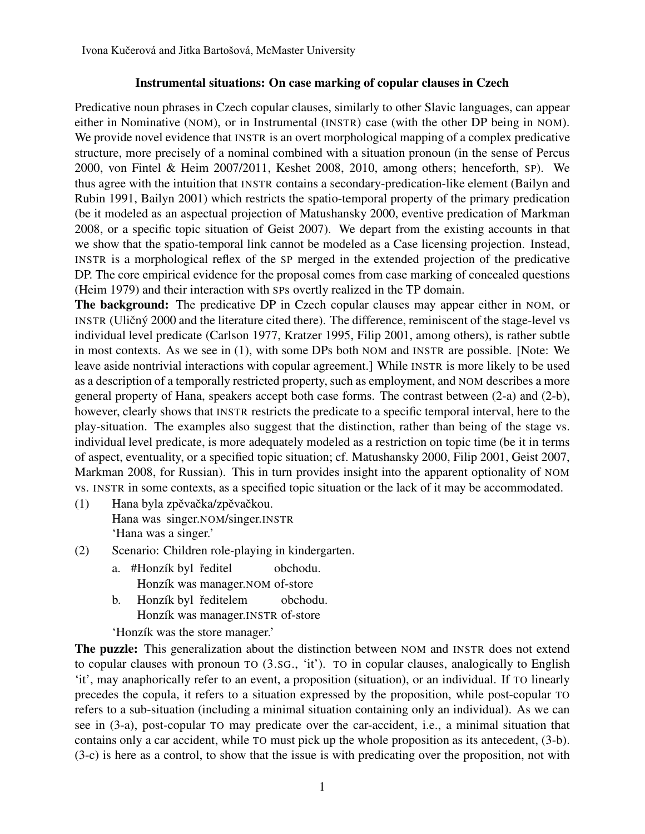## Instrumental situations: On case marking of copular clauses in Czech

Predicative noun phrases in Czech copular clauses, similarly to other Slavic languages, can appear either in Nominative (NOM), or in Instrumental (INSTR) case (with the other DP being in NOM). We provide novel evidence that INSTR is an overt morphological mapping of a complex predicative structure, more precisely of a nominal combined with a situation pronoun (in the sense of Percus 2000, von Fintel & Heim 2007/2011, Keshet 2008, 2010, among others; henceforth, SP). We thus agree with the intuition that INSTR contains a secondary-predication-like element (Bailyn and Rubin 1991, Bailyn 2001) which restricts the spatio-temporal property of the primary predication (be it modeled as an aspectual projection of Matushansky 2000, eventive predication of Markman 2008, or a specific topic situation of Geist 2007). We depart from the existing accounts in that we show that the spatio-temporal link cannot be modeled as a Case licensing projection. Instead, INSTR is a morphological reflex of the SP merged in the extended projection of the predicative DP. The core empirical evidence for the proposal comes from case marking of concealed questions (Heim 1979) and their interaction with SPs overtly realized in the TP domain.

The background: The predicative DP in Czech copular clauses may appear either in NOM, or INSTR (Uličný 2000 and the literature cited there). The difference, reminiscent of the stage-level vs individual level predicate (Carlson 1977, Kratzer 1995, Filip 2001, among others), is rather subtle in most contexts. As we see in (1), with some DPs both NOM and INSTR are possible. [Note: We leave aside nontrivial interactions with copular agreement.] While INSTR is more likely to be used as a description of a temporally restricted property, such as employment, and NOM describes a more general property of Hana, speakers accept both case forms. The contrast between (2-a) and (2-b), however, clearly shows that INSTR restricts the predicate to a specific temporal interval, here to the play-situation. The examples also suggest that the distinction, rather than being of the stage vs. individual level predicate, is more adequately modeled as a restriction on topic time (be it in terms of aspect, eventuality, or a specified topic situation; cf. Matushansky 2000, Filip 2001, Geist 2007, Markman 2008, for Russian). This in turn provides insight into the apparent optionality of NOM vs. INSTR in some contexts, as a specified topic situation or the lack of it may be accommodated.

- (1) Hana byla zpěvačka/zpěvačkou. Hana was singer.NOM/singer.INSTR 'Hana was a singer.'
- (2) Scenario: Children role-playing in kindergarten.
	- a. #Honzík byl ředitel Honzík was manager.NOM of-store obchodu.
	- b. Honzík byl ředitelem Honzík was manager.INSTR of-store obchodu.

'Honzík was the store manager.'

The puzzle: This generalization about the distinction between NOM and INSTR does not extend to copular clauses with pronoun TO (3.SG., 'it'). TO in copular clauses, analogically to English 'it', may anaphorically refer to an event, a proposition (situation), or an individual. If TO linearly precedes the copula, it refers to a situation expressed by the proposition, while post-copular TO refers to a sub-situation (including a minimal situation containing only an individual). As we can see in (3-a), post-copular TO may predicate over the car-accident, i.e., a minimal situation that contains only a car accident, while TO must pick up the whole proposition as its antecedent, (3-b). (3-c) is here as a control, to show that the issue is with predicating over the proposition, not with